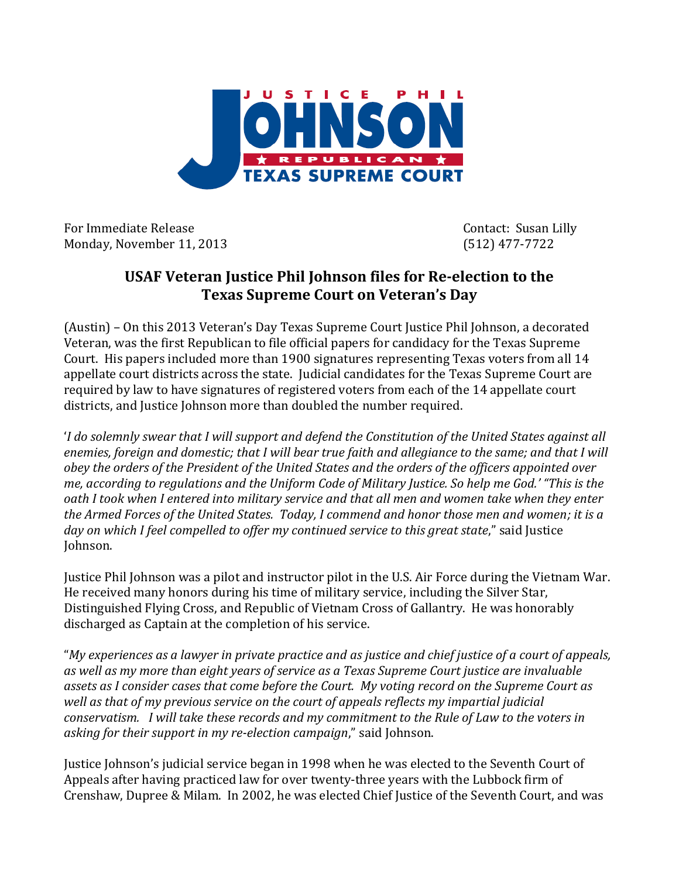

For Immediate Release **Contact:** Susan Lilly Monday, November 11, 2013 (512) 477-7722

## **USAF Veteran Justice Phil Johnson files for Re-election to the Texas Supreme Court on Veteran's Day**

(Austin) – On this 2013 Veteran's Day Texas Supreme Court Justice Phil Johnson, a decorated Veteran, was the first Republican to file official papers for candidacy for the Texas Supreme Court. His papers included more than 1900 signatures representing Texas voters from all 14 appellate court districts across the state. Judicial candidates for the Texas Supreme Court are required by law to have signatures of registered voters from each of the 14 appellate court districts, and Justice Johnson more than doubled the number required.

'*I do solemnly swear that I will support and defend the Constitution of the United States against all enemies, foreign and domestic; that I will bear true faith and allegiance to the same; and that I will obey the orders of the President of the United States and the orders of the officers appointed over me, according to regulations and the Uniform Code of Military Justice. So help me God.' "This is the oath I took when I entered into military service and that all men and women take when they enter the Armed Forces of the United States. Today, I commend and honor those men and women; it is a day on which I feel compelled to offer my continued service to this great state*," said Justice Johnson.

Justice Phil Johnson was a pilot and instructor pilot in the U.S. Air Force during the Vietnam War. He received many honors during his time of military service, including the Silver Star, Distinguished Flying Cross, and Republic of Vietnam Cross of Gallantry. He was honorably discharged as Captain at the completion of his service.

"*My experiences as a lawyer in private practice and as justice and chief justice of a court of appeals, as well as my more than eight years of service as a Texas Supreme Court justice are invaluable assets as I consider cases that come before the Court. My voting record on the Supreme Court as well as that of my previous service on the court of appeals reflects my impartial judicial conservatism. I will take these records and my commitment to the Rule of Law to the voters in asking for their support in my re-election campaign*," said Johnson.

Justice Johnson's judicial service began in 1998 when he was elected to the Seventh Court of Appeals after having practiced law for over twenty-three years with the Lubbock firm of Crenshaw, Dupree & Milam. In 2002, he was elected Chief Justice of the Seventh Court, and was